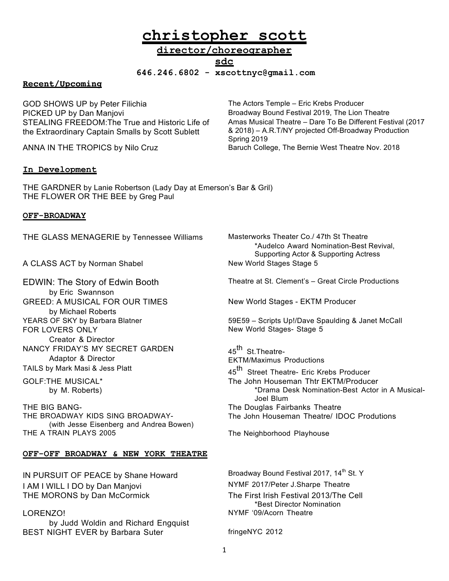# **christopher scott**

# **director/choreographer sdc**

**646.246.6802 - xscottnyc@gmail.com**

# **Recent/Upcoming**

GOD SHOWS UP by Peter Filichia The Actors Temple – Eric Krebs Producer PICKED UP by Dan Manjovi **Broadway Bound Festival 2019**, The Lion Theatre STEALING FREEDOM:The True and Historic Life of the Extraordinary Captain Smalls by Scott Sublett

### **In Development**

THE GARDNER by Lanie Robertson (Lady Day at Emerson's Bar & Gril) THE FLOWER OR THE BEE by Greg Paul

#### **OFF-BROADWAY**

THE GLASS MENAGERIE by Tennessee Williams Masterworks Theater Co./ 47th St Theatre

A CLASS ACT by Norman Shabel New World Stages Stage 5

EDWIN: The Story of Edwin Booth by Eric Swannson GREED: A MUSICAL FOR OUR TIMES by Michael Roberts FOR LOVERS ONLY Creator & Director NANCY FRIDAY'S MY SECRET GARDEN Adaptor & Director TAILS by Mark Masi & Jess Platt 45<sup>th</sup> Street Theatre- Eric Krebs Producer

GOLF:THE MUSICAL\* by M. Roberts)

THE BIG BANG- The Douglas Fairbanks Theatre THE BROADWAY KIDS SING BROADWAY- (with Jesse Eisenberg and Andrea Bowen) THE A TRAIN PLAYS 2005 The Neighborhood Playhouse

#### **OFF-OFF BROADWAY & NEW YORK THEATRE**

I AM I WILL I DO by Dan Manjovi NYMF 2017/Peter J.Sharpe Theatre THE MORONS by Dan McCormick The First Irish Festival 2013/The Cell

### LORENZO!

by Judd Woldin and Richard Engquist BEST NIGHT EVER by Barbara Suter FringeNYC 2012

Amas Musical Theatre – Dare To Be Different Festival (2017 & 2018) – A.R.T/NY projected Off-Broadway Production Spring 2019 ANNA IN THE TROPICS by Nilo Cruz **Baruch College, The Bernie West Theatre Nov. 2018** 

> \*Audelco Award Nomination-Best Revival, Supporting Actor & Supporting Actress

Theatre at St. Clement's – Great Circle Productions

New World Stages - EKTM Producer

YEARS OF SKY by Barbara Blatner 1988 1998 - Scripts Up!/Dave Spaulding & Janet McCall New World Stages- Stage 5

> 45<sup>th</sup> St.Theatre-EKTM/Maximus Productions The John Houseman Thtr EKTM/Producer \*Drama Desk Nomination-Best Actor in A Musical-Joel Blum The John Houseman Theatre/ IDOC Produtions

IN PURSUIT OF PEACE by Shane Howard Broadway Bound Festival 2017, 14<sup>th</sup> St. Y \*Best Director Nomination NYMF '09/Acorn Theatre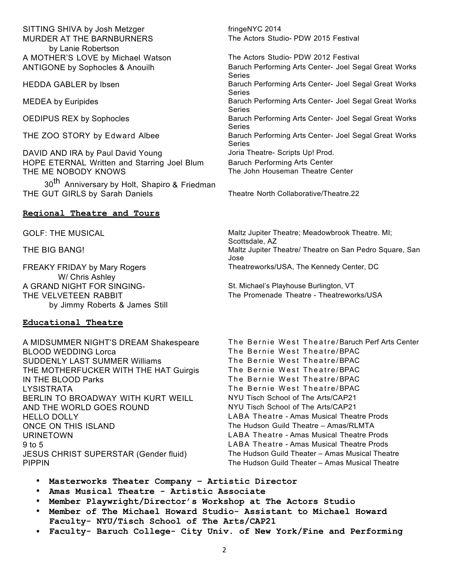SITTING SHIVA by Josh Metzger fringeNYC 2014 MURDER AT THE BARNBURNERS by Lanie Robertson A MOTHER'S LOVE by Michael Watson The Actors Studio- PDW 2012 Festival

DAVID AND IRA by Paul David Young Joria Theatre- Scripts Up! Prod. HOPE ETERNAL Written and Starring Joel Blum Baruch Performing Arts Center THE ME NOBODY KNOWS

30<sup>th</sup> Anniversary by Holt, Shapiro & Friedman THE GUT GIRLS by Sarah Daniels Theatre North Collaborative/Theatre.22

#### **Regional Theatre and Tours**

FREAKY FRIDAY by Mary Rogers W/ Chris Ashley A GRAND NIGHT FOR SINGING-<br>
St. Michael's Playhouse Burlington, VT THE VELVETEEN RABBIT by Jimmy Roberts & James Still

#### **Educational Theatre**

BLOOD WEDDING Lorca<br>SUDDENI YI AST SUMMER Williams The Bernie West Theatre/BPAC SUDDENLY LAST SUMMER Williams THE MOTHERFUCKER WITH THE HAT Guirgis The Bernie West Theatre/BPAC IN THE BLOOD Parks The Bernie West Theatre/BPAC LYSISTRATA The Bernie West Theatre/BPAC BERLIN TO BROADWAY WITH KURT WEILL NYU Tisch School of The Arts/CAP21 AND THE WORLD GOES ROUND NYU Tisch School of The Arts/CAP21 HELLO DOLLY LABA Theatre - Amas Musical Theatre Prods ONCE ON THIS ISLAND The Hudson Guild Theatre – Amas/RLMTA URINETOWN LABA Theatre - Amas Musical Theatre Prods 9 to 5 LABA Theatre - Amas Musical Theatre Prods JESUS CHRIST SUPERSTAR (Gender fluid) The Hudson Guild Theater – Amas Musical Theatre PIPPIN The Hudson Guild Theater – Amas Musical Theatre

The Actors Studio- PDW 2015 Festival

ANTIGONE by Sophocles & Anouilh Baruch Performing Arts Center- Joel Segal Great Works Series HEDDA GABLER by Ibsen **Baruch Performing Arts Center- Joel Segal Great Works** Baruch Performing Arts Center- Joel Segal Great Works Series MEDEA by Euripides **Baruch Performing Arts Center- Joel Segal Great Works** Baruch Performing Arts Center- Joel Segal Great Works Series OEDIPUS REX by Sophocles **Baruch Performing Arts Center- Joel Segal Great Works** Baruch Performing Arts Center- Joel Segal Great Works Series THE ZOO STORY by Edward Albee Baruch Performing Arts Center- Joel Segal Great Works Series The John Houseman Theatre Center

GOLF: THE MUSICAL **Maltz Jupiter Theatre; Meadowbrook Theatre**. MI; Scottsdale, AZ THE BIG BANG! THE BIG BANG! Maltz Jupiter Theatre/ Theatre on San Pedro Square, San Jose Theatreworks/USA, The Kennedy Center, DC

The Promenade Theatre - Theatreworks/USA

A MIDSUMMER NIGHT'S DREAM Shakespeare The Bernie West Theatre/Baruch Perf Arts Center

- **Masterworks Theater Company Artistic Director**
- **Amas Musical Theatre Artistic Associate**
- **Member Playwright/Director's Workshop at The Actors Studio**
- **Member of The Michael Howard Studio- Assistant to Michael Howard Faculty- NYU/Tisch School of The Arts/CAP21**
- **Faculty- Baruch College- City Univ. of New York/Fine and Performing**